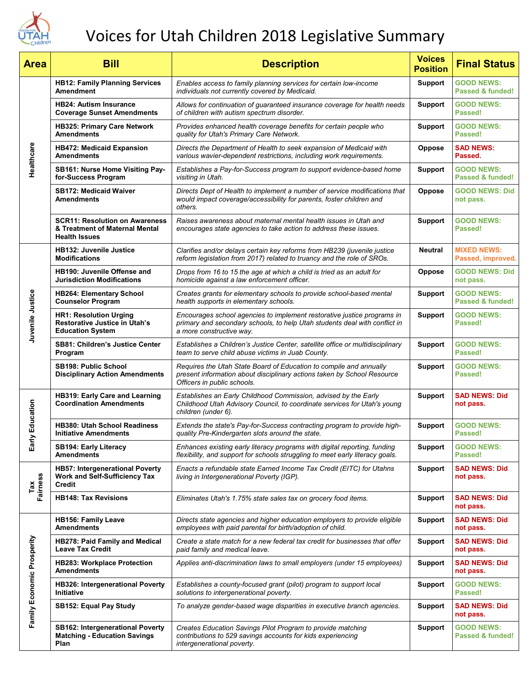

# Voices for Utah Children 2018 Legislative Summary

| <b>Area</b>                | <b>Bill</b>                                                                                      | <b>Description</b>                                                                                                                                                                | <b>Voices</b><br><b>Position</b> | <b>Final Status</b>                              |
|----------------------------|--------------------------------------------------------------------------------------------------|-----------------------------------------------------------------------------------------------------------------------------------------------------------------------------------|----------------------------------|--------------------------------------------------|
| Healthcare                 | <b>HB12: Family Planning Services</b><br><b>Amendment</b>                                        | Enables access to family planning services for certain low-income<br>individuals not currently covered by Medicaid.                                                               | <b>Support</b>                   | <b>GOOD NEWS:</b><br>Passed & funded!            |
|                            | <b>HB24: Autism Insurance</b><br><b>Coverage Sunset Amendments</b>                               | Allows for continuation of guaranteed insurance coverage for health needs<br>of children with autism spectrum disorder.                                                           | <b>Support</b>                   | <b>GOOD NEWS:</b><br>Passed!                     |
|                            | <b>HB325: Primary Care Network</b><br><b>Amendments</b>                                          | Provides enhanced health coverage benefits for certain people who<br>quality for Utah's Primary Care Network.                                                                     | <b>Support</b>                   | <b>GOOD NEWS:</b><br>Passed!                     |
|                            | <b>HB472: Medicaid Expansion</b><br><b>Amendments</b>                                            | Directs the Department of Health to seek expansion of Medicaid with<br>various wavier-dependent restrictions, including work requirements.                                        | <b>Oppose</b>                    | <b>SAD NEWS:</b><br>Passed.                      |
|                            | SB161: Nurse Home Visiting Pay-<br>for-Success Program                                           | Establishes a Pay-for-Success program to support evidence-based home<br>visiting in Utah.                                                                                         | <b>Support</b>                   | <b>GOOD NEWS:</b><br><b>Passed &amp; funded!</b> |
|                            | <b>SB172: Medicaid Waiver</b><br><b>Amendments</b>                                               | Directs Dept of Health to implement a number of service modifications that<br>would impact coverage/accessibility for parents, foster children and<br>others.                     | Oppose                           | <b>GOOD NEWS: Did</b><br>not pass.               |
|                            | <b>SCR11: Resolution on Awareness</b><br>& Treatment of Maternal Mental<br><b>Health Issues</b>  | Raises awareness about maternal mental health issues in Utah and<br>encourages state agencies to take action to address these issues.                                             | <b>Support</b>                   | <b>GOOD NEWS:</b><br>Passed!                     |
| Juvenile Justice           | <b>HB132: Juvenile Justice</b><br><b>Modifications</b>                                           | Clarifies and/or delays certain key reforms from HB239 (juvenile justice<br>reform legislation from 2017) related to truancy and the role of SROs.                                | <b>Neutral</b>                   | <b>MIXED NEWS:</b><br>Passed, improved.          |
|                            | <b>HB190: Juvenile Offense and</b><br><b>Jurisdiction Modifications</b>                          | Drops from 16 to 15 the age at which a child is tried as an adult for<br>homicide against a law enforcement officer.                                                              | <b>Oppose</b>                    | <b>GOOD NEWS: Did</b><br>not pass.               |
|                            | <b>HB264: Elementary School</b><br><b>Counselor Program</b>                                      | Creates grants for elementary schools to provide school-based mental<br>health supports in elementary schools.                                                                    | <b>Support</b>                   | <b>GOOD NEWS:</b><br>Passed & funded!            |
|                            | <b>HR1: Resolution Urging</b><br><b>Restorative Justice in Utah's</b><br><b>Education System</b> | Encourages school agencies to implement restorative justice programs in<br>primary and secondary schools, to help Utah students deal with conflict in<br>a more constructive way. | <b>Support</b>                   | <b>GOOD NEWS:</b><br>Passed!                     |
|                            | <b>SB81: Children's Justice Center</b><br>Program                                                | Establishes a Children's Justice Center, satellite office or multidisciplinary<br>team to serve child abuse victims in Juab County.                                               | <b>Support</b>                   | <b>GOOD NEWS:</b><br>Passed!                     |
|                            | <b>SB198: Public School</b><br><b>Disciplinary Action Amendments</b>                             | Requires the Utah State Board of Education to compile and annually<br>present information about disciplinary actions taken by School Resource<br>Officers in public schools.      | <b>Support</b>                   | <b>GOOD NEWS:</b><br>Passed!                     |
| y Education<br>Earl        | HB319: Early Care and Learning<br><b>Coordination Amendments</b>                                 | Establishes an Early Childhood Commission, advised by the Early<br>Childhood Utah Advisory Council, to coordinate services for Utah's young<br>children (under 6).                | <b>Support</b>                   | <b>SAD NEWS: Did</b><br>not pass.                |
|                            | <b>HB380: Utah School Readiness</b><br><b>Initiative Amendments</b>                              | Extends the state's Pay-for-Success contracting program to provide high-<br>quality Pre-Kindergarten slots around the state.                                                      | <b>Support</b>                   | <b>GOOD NEWS:</b><br>Passed!                     |
|                            | <b>SB194: Early Literacy</b><br><b>Amendments</b>                                                | Enhances existing early literacy programs with digital reporting, funding<br>flexibility, and support for schools struggling to meet early literacy goals.                        | <b>Support</b>                   | <b>GOOD NEWS:</b><br>Passed!                     |
| Fairness<br>Tax            | HB57: Intergenerational Poverty<br><b>Work and Self-Sufficiency Tax</b><br>Credit                | Enacts a refundable state Earned Income Tax Credit (EITC) for Utahns<br>living in Intergenerational Poverty (IGP).                                                                | <b>Support</b>                   | <b>SAD NEWS: Did</b><br>not pass.                |
|                            | <b>HB148: Tax Revisions</b>                                                                      | Eliminates Utah's 1.75% state sales tax on grocery food items.                                                                                                                    | <b>Support</b>                   | <b>SAD NEWS: Did</b><br>not pass.                |
| Family Economic Prosperity | <b>HB156: Family Leave</b><br><b>Amendments</b>                                                  | Directs state agencies and higher education employers to provide eligible<br>employees with paid parental for birth/adoption of child.                                            | <b>Support</b>                   | <b>SAD NEWS: Did</b><br>not pass.                |
|                            | HB278: Paid Family and Medical<br><b>Leave Tax Credit</b>                                        | Create a state match for a new federal tax credit for businesses that offer<br>paid family and medical leave.                                                                     | <b>Support</b>                   | <b>SAD NEWS: Did</b><br>not pass.                |
|                            | <b>HB283: Workplace Protection</b><br><b>Amendments</b>                                          | Applies anti-discrimination laws to small employers (under 15 employees)                                                                                                          | <b>Support</b>                   | <b>SAD NEWS: Did</b><br>not pass.                |
|                            | HB326: Intergenerational Poverty<br>Initiative                                                   | Establishes a county-focused grant (pilot) program to support local<br>solutions to intergenerational poverty.                                                                    | <b>Support</b>                   | <b>GOOD NEWS:</b><br>Passed!                     |
|                            | <b>SB152: Equal Pay Study</b>                                                                    | To analyze gender-based wage disparities in executive branch agencies.                                                                                                            | <b>Support</b>                   | <b>SAD NEWS: Did</b><br>not pass.                |
|                            | <b>SB162: Intergenerational Poverty</b><br><b>Matching - Education Savings</b><br>Plan           | Creates Education Savings Pilot Program to provide matching<br>contributions to 529 savings accounts for kids experiencing<br>intergenerational poverty.                          | <b>Support</b>                   | <b>GOOD NEWS:</b><br>Passed & funded!            |